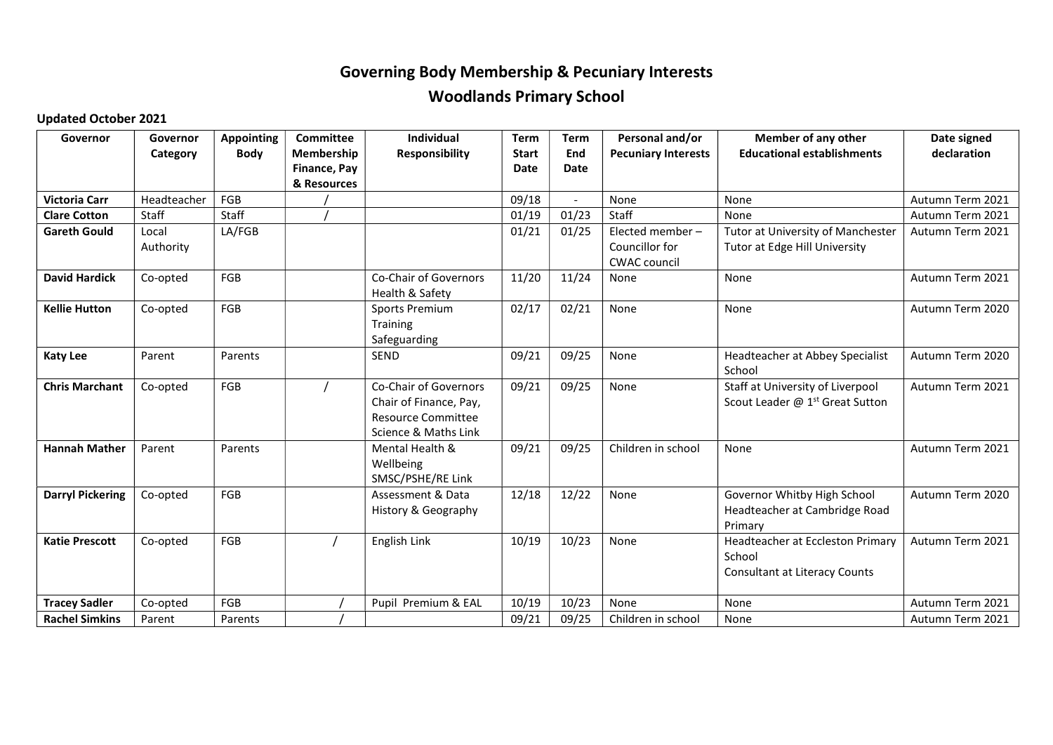## Governing Body Membership & Pecuniary Interests Woodlands Primary School

## Updated October 2021

| Governor                | Governor    | <b>Appointing</b> | Committee    | <b>Individual</b>              | <b>Term</b>  | <b>Term</b>              | Personal and/or            | <b>Member of any other</b>                  | Date signed      |
|-------------------------|-------------|-------------------|--------------|--------------------------------|--------------|--------------------------|----------------------------|---------------------------------------------|------------------|
|                         | Category    | <b>Body</b>       | Membership   | <b>Responsibility</b>          | <b>Start</b> | End                      | <b>Pecuniary Interests</b> | <b>Educational establishments</b>           | declaration      |
|                         |             |                   | Finance, Pay |                                | <b>Date</b>  | <b>Date</b>              |                            |                                             |                  |
|                         |             |                   | & Resources  |                                |              |                          |                            |                                             |                  |
| <b>Victoria Carr</b>    | Headteacher | <b>FGB</b>        |              |                                | 09/18        | $\overline{\phantom{a}}$ | None                       | None                                        | Autumn Term 2021 |
| <b>Clare Cotton</b>     | Staff       | Staff             |              |                                | 01/19        | 01/23                    | Staff                      | None                                        | Autumn Term 2021 |
| <b>Gareth Gould</b>     | Local       | LA/FGB            |              |                                | 01/21        | 01/25                    | Elected member-            | Tutor at University of Manchester           | Autumn Term 2021 |
|                         | Authority   |                   |              |                                |              |                          | Councillor for             | Tutor at Edge Hill University               |                  |
|                         |             |                   |              |                                |              |                          | CWAC council               |                                             |                  |
| <b>David Hardick</b>    | Co-opted    | FGB               |              | Co-Chair of Governors          | 11/20        | 11/24                    | None                       | None                                        | Autumn Term 2021 |
|                         |             |                   |              | Health & Safety                |              |                          |                            |                                             |                  |
| <b>Kellie Hutton</b>    | Co-opted    | <b>FGB</b>        |              | Sports Premium                 | 02/17        | 02/21                    | None                       | None                                        | Autumn Term 2020 |
|                         |             |                   |              | Training                       |              |                          |                            |                                             |                  |
|                         |             |                   |              | Safeguarding                   |              |                          |                            |                                             |                  |
| <b>Katy Lee</b>         | Parent      | Parents           |              | <b>SEND</b>                    | 09/21        | 09/25                    | None                       | Headteacher at Abbey Specialist             | Autumn Term 2020 |
|                         |             |                   |              |                                |              |                          |                            | School                                      |                  |
| <b>Chris Marchant</b>   | Co-opted    | FGB               |              | Co-Chair of Governors          | 09/21        | 09/25                    | None                       | Staff at University of Liverpool            | Autumn Term 2021 |
|                         |             |                   |              | Chair of Finance, Pay,         |              |                          |                            | Scout Leader @ 1 <sup>st</sup> Great Sutton |                  |
|                         |             |                   |              | <b>Resource Committee</b>      |              |                          |                            |                                             |                  |
|                         |             |                   |              | Science & Maths Link           |              |                          |                            |                                             |                  |
| <b>Hannah Mather</b>    | Parent      | Parents           |              | Mental Health &                | 09/21        | 09/25                    | Children in school         | None                                        | Autumn Term 2021 |
|                         |             |                   |              | Wellbeing<br>SMSC/PSHE/RE Link |              |                          |                            |                                             |                  |
| <b>Darryl Pickering</b> | Co-opted    | FGB               |              | Assessment & Data              | 12/18        | 12/22                    | None                       | Governor Whitby High School                 | Autumn Term 2020 |
|                         |             |                   |              | History & Geography            |              |                          |                            | Headteacher at Cambridge Road               |                  |
|                         |             |                   |              |                                |              |                          |                            | Primary                                     |                  |
| <b>Katie Prescott</b>   | Co-opted    | FGB               |              | English Link                   | 10/19        | 10/23                    | None                       | Headteacher at Eccleston Primary            | Autumn Term 2021 |
|                         |             |                   |              |                                |              |                          |                            | School                                      |                  |
|                         |             |                   |              |                                |              |                          |                            | <b>Consultant at Literacy Counts</b>        |                  |
|                         |             |                   |              |                                |              |                          |                            |                                             |                  |
| <b>Tracey Sadler</b>    | Co-opted    | FGB               |              | Pupil Premium & EAL            | 10/19        | 10/23                    | None                       | None                                        | Autumn Term 2021 |
| <b>Rachel Simkins</b>   | Parent      | Parents           |              |                                | 09/21        | 09/25                    | Children in school         | None                                        | Autumn Term 2021 |